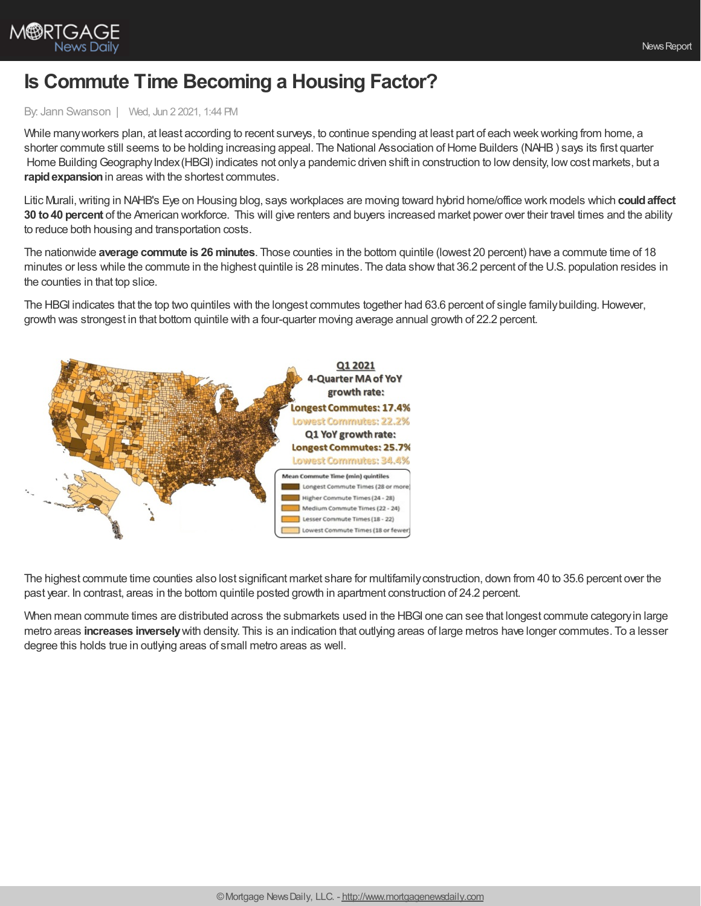

## **Is Commute Time Becoming a Housing Factor?**

## By: Jann Swanson | Wed, Jun 2 2021, 1:44 PM

While many workers plan, at least according to recent surveys, to continue spending at least part of each week working from home, a shorter commute still seems to be holding increasing appeal. The National Association of Home Builders (NAHB) says its first quarter Home Building Geography Index (HBGI) indicates not only a pandemic driven shift in construction to low density, low cost markets, but a **rapid expansion** in areas with the shortest commutes.

Litic Murali,writing in NAHB's Eye on Housing blog, says workplaces are moving toward hybrid home/office work models which **couldaffect 30 to40 percent** of the American workforce. This will give renters and buyers increased market power over their travel times and the ability to reduce both housing and transportation costs.

The nationwide **average commute is 26 minutes**. Those counties in the bottom quintile (lowest 20 percent) have a commute time of 18 minutes or less while the commute in the highest quintile is 28 minutes. The data show that 36.2 percent of the U.S. population resides in the counties in that top slice.

The HBGI indicates that the top two quintiles with the longest commutes together had 63.6 percent of single familybuilding.However, growth was strongest in that bottom quintile with a four-quarter moving average annual growth of 22.2 percent.



The highest commute time counties also lost significant market share for multifamilyconstruction, down from 40 to 35.6 percent over the past year. In contrast, areas in the bottom quintile posted growth in apartment construction of 24.2 percent.

When mean commute times are distributed across the submarkets used in the HBGI one can see that longest commute category in large metro areas **increases inversely**with density. This is an indication that outlying areas of large metros have longer commutes. To a lesser degree this holds true in outlying areas of small metro areas as well.